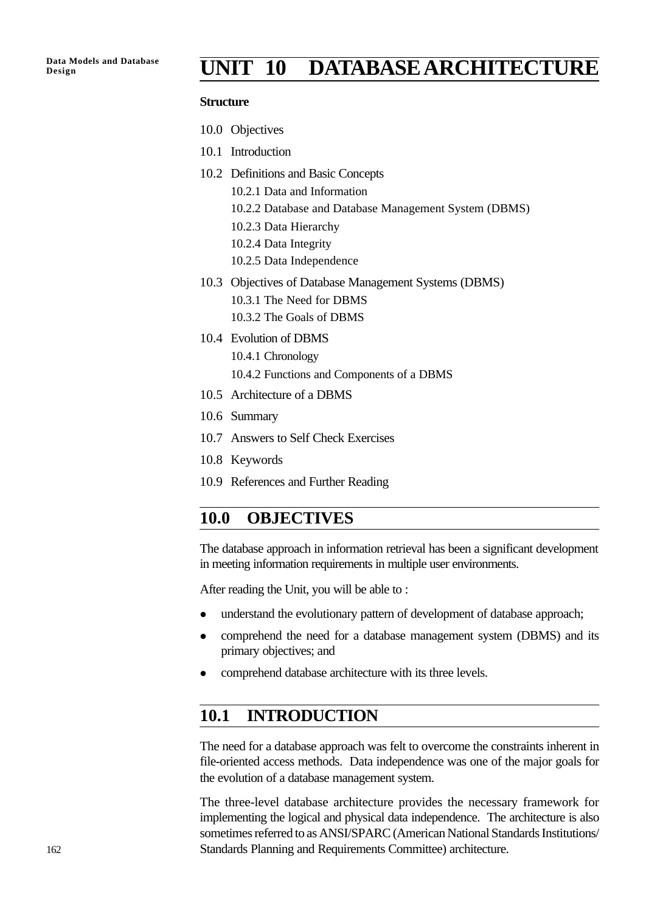# **Design UNIT 10 DATABASE ARCHITECTURE**

#### **Structure**

- 10.0 Objectives
- 10.1 Introduction
- 10.2 Definitions and Basic Concepts
	- 10.2.1 Data and Information
	- 10.2.2 Database and Database Management System (DBMS)
	- 10.2.3 Data Hierarchy
	- 10.2.4 Data Integrity
	- 10.2.5 Data Independence
- 10.3 Objectives of Database Management Systems (DBMS) 10.3.1 The Need for DBMS 10.3.2 The Goals of DBMS
- 10.4 Evolution of DBMS 10.4.1 Chronology 10.4.2 Functions and Components of a DBMS
- 10.5 Architecture of a DBMS
- 10.6 Summary
- 10.7 Answers to Self Check Exercises
- 10.8 Keywords
- 10.9 References and Further Reading

### **10.0 OBJECTIVES**

The database approach in information retrieval has been a significant development in meeting information requirements in multiple user environments.

After reading the Unit, you will be able to :

- understand the evolutionary pattern of development of database approach;
- comprehend the need for a database management system (DBMS) and its primary objectives; and
- comprehend database architecture with its three levels.

### **10.1 INTRODUCTION**

The need for a database approach was felt to overcome the constraints inherent in file-oriented access methods. Data independence was one of the major goals for the evolution of a database management system.

The three-level database architecture provides the necessary framework for implementing the logical and physical data independence. The architecture is also sometimes referred to as ANSI/SPARC (American National Standards Institutions/ Standards Planning and Requirements Committee) architecture.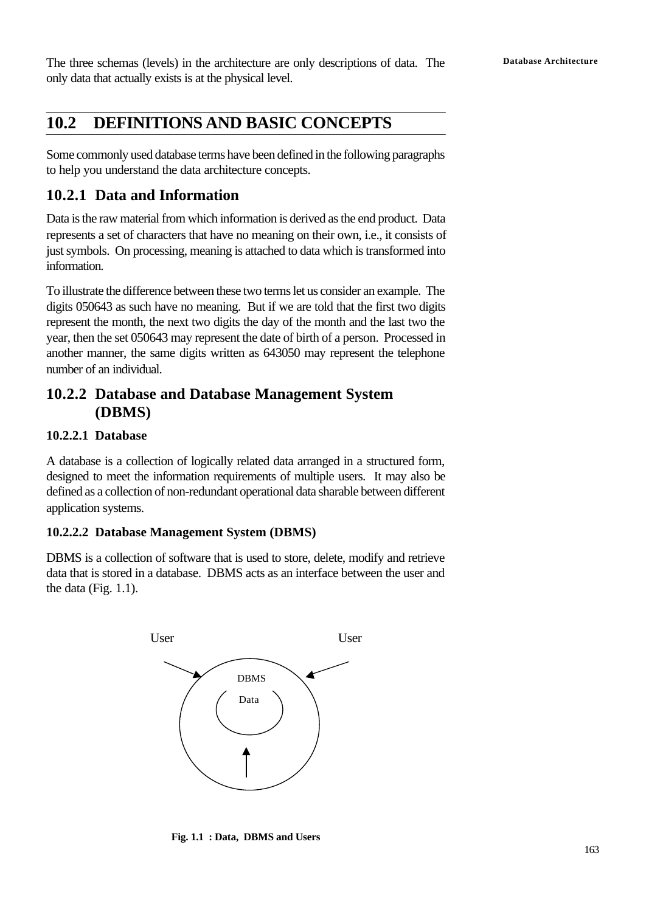The three schemas (levels) in the architecture are only descriptions of data. The **Database Architecture** only data that actually exists is at the physical level.

# **10.2 DEFINITIONS AND BASIC CONCEPTS**

Some commonly used database terms have been defined in the following paragraphs to help you understand the data architecture concepts.

### **10.2.1 Data and Information**

Data is the raw material from which information is derived as the end product. Data represents a set of characters that have no meaning on their own, i.e., it consists of just symbols. On processing, meaning is attached to data which is transformed into information.

To illustrate the difference between these two terms let us consider an example. The digits 050643 as such have no meaning. But if we are told that the first two digits represent the month, the next two digits the day of the month and the last two the year, then the set 050643 may represent the date of birth of a person. Processed in another manner, the same digits written as 643050 may represent the telephone number of an individual.

## **10.2.2 Database and Database Management System (DBMS)**

#### **10.2.2.1 Database**

A database is a collection of logically related data arranged in a structured form, designed to meet the information requirements of multiple users. It may also be defined as a collection of non-redundant operational data sharable between different application systems.

### **10.2.2.2 Database Management System (DBMS)**

DBMS is a collection of software that is used to store, delete, modify and retrieve data that is stored in a database. DBMS acts as an interface between the user and the data (Fig. 1.1).



**Fig. 1.1 : Data, DBMS and Users**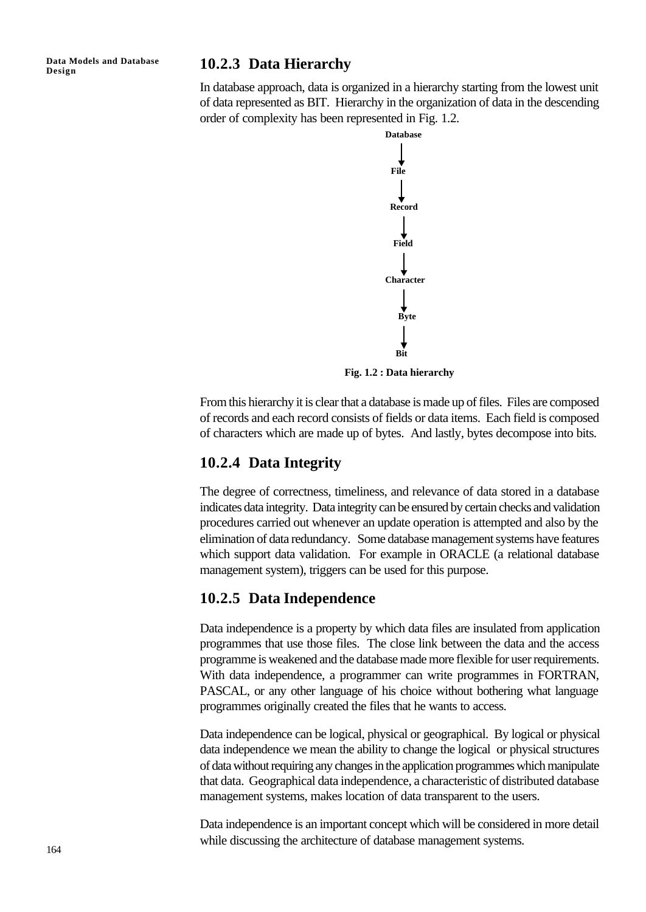**Data Models and Database**

### **Design 10.2.3 Data Hierarchy**

In database approach, data is organized in a hierarchy starting from the lowest unit of data represented as BIT. Hierarchy in the organization of data in the descending order of complexity has been represented in Fig. 1.2.



**Fig. 1.2 : Data hierarchy**

From this hierarchy it is clear that a database is made up of files. Files are composed of records and each record consists of fields or data items. Each field is composed of characters which are made up of bytes. And lastly, bytes decompose into bits.

### **10.2.4 Data Integrity**

The degree of correctness, timeliness, and relevance of data stored in a database indicates data integrity. Data integrity can be ensured by certain checks and validation procedures carried out whenever an update operation is attempted and also by the elimination of data redundancy. Some database management systems have features which support data validation. For example in ORACLE (a relational database management system), triggers can be used for this purpose.

#### **10.2.5 Data Independence**

Data independence is a property by which data files are insulated from application programmes that use those files. The close link between the data and the access programme is weakened and the database made more flexible for user requirements. With data independence, a programmer can write programmes in FORTRAN, PASCAL, or any other language of his choice without bothering what language programmes originally created the files that he wants to access.

Data independence can be logical, physical or geographical. By logical or physical data independence we mean the ability to change the logical or physical structures of data without requiring any changes in the application programmes which manipulate that data. Geographical data independence, a characteristic of distributed database management systems, makes location of data transparent to the users.

Data independence is an important concept which will be considered in more detail while discussing the architecture of database management systems.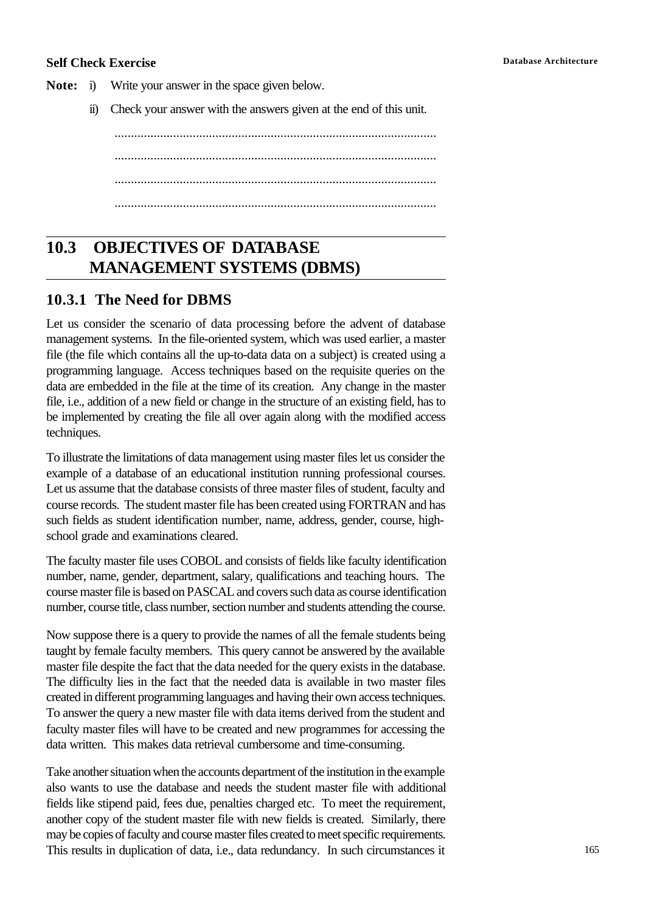#### **Self Check Exercise Database Architecture**

**Note:** i) Write your answer in the space given below.

ii) Check your answer with the answers given at the end of this unit.

................................................................................................... ................................................................................................... ................................................................................................... ...................................................................................................

# **10.3 OBJECTIVES OF DATABASE MANAGEMENT SYSTEMS (DBMS)**

### **10.3.1 The Need for DBMS**

Let us consider the scenario of data processing before the advent of database management systems. In the file-oriented system, which was used earlier, a master file (the file which contains all the up-to-data data on a subject) is created using a programming language. Access techniques based on the requisite queries on the data are embedded in the file at the time of its creation. Any change in the master file, i.e., addition of a new field or change in the structure of an existing field, has to be implemented by creating the file all over again along with the modified access techniques.

To illustrate the limitations of data management using master files let us consider the example of a database of an educational institution running professional courses. Let us assume that the database consists of three master files of student, faculty and course records. The student master file has been created using FORTRAN and has such fields as student identification number, name, address, gender, course, highschool grade and examinations cleared.

The faculty master file uses COBOL and consists of fields like faculty identification number, name, gender, department, salary, qualifications and teaching hours. The course master file is based on PASCAL and covers such data as course identification number, course title, class number, section number and students attending the course.

Now suppose there is a query to provide the names of all the female students being taught by female faculty members. This query cannot be answered by the available master file despite the fact that the data needed for the query exists in the database. The difficulty lies in the fact that the needed data is available in two master files created in different programming languages and having their own access techniques. To answer the query a new master file with data items derived from the student and faculty master files will have to be created and new programmes for accessing the data written. This makes data retrieval cumbersome and time-consuming.

Take another situation when the accounts department of the institution in the example also wants to use the database and needs the student master file with additional fields like stipend paid, fees due, penalties charged etc. To meet the requirement, another copy of the student master file with new fields is created. Similarly, there may be copies of faculty and course master files created to meet specific requirements. This results in duplication of data, i.e., data redundancy. In such circumstances it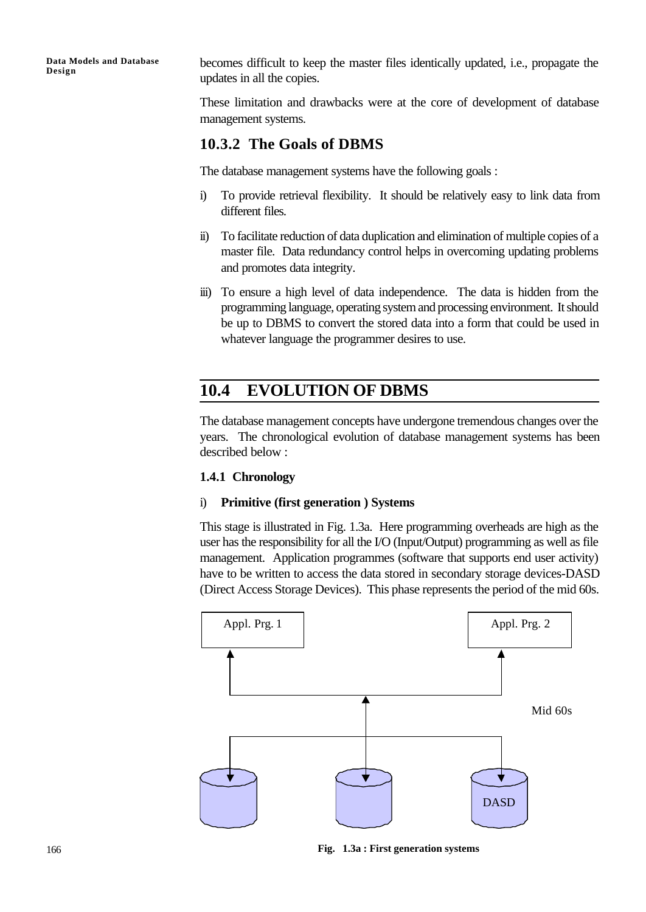**Data Models and Database Design**

becomes difficult to keep the master files identically updated, i.e., propagate the updates in all the copies.

These limitation and drawbacks were at the core of development of database management systems.

### **10.3.2 The Goals of DBMS**

The database management systems have the following goals :

- i) To provide retrieval flexibility. It should be relatively easy to link data from different files.
- ii) To facilitate reduction of data duplication and elimination of multiple copies of a master file. Data redundancy control helps in overcoming updating problems and promotes data integrity.
- iii) To ensure a high level of data independence. The data is hidden from the programming language, operating system and processing environment. It should be up to DBMS to convert the stored data into a form that could be used in whatever language the programmer desires to use.

# **10.4 EVOLUTION OF DBMS**

The database management concepts have undergone tremendous changes over the years. The chronological evolution of database management systems has been described below :

#### **1.4.1 Chronology**

#### i) **Primitive (first generation ) Systems**

This stage is illustrated in Fig. 1.3a. Here programming overheads are high as the user has the responsibility for all the I/O (Input/Output) programming as well as file management. Application programmes (software that supports end user activity) have to be written to access the data stored in secondary storage devices-DASD (Direct Access Storage Devices). This phase represents the period of the mid 60s.



**Fig. 1.3a : First generation systems**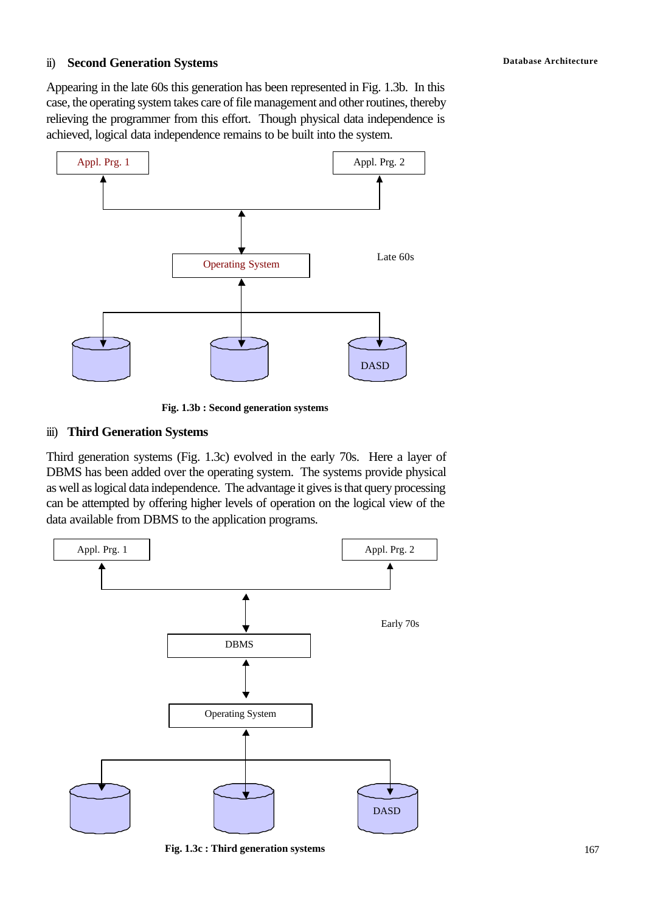### **Database Architecture** ii) **Second Generation Systems**

Appearing in the late 60s this generation has been represented in Fig. 1.3b. In this case, the operating system takes care of file management and other routines, thereby relieving the programmer from this effort. Though physical data independence is achieved, logical data independence remains to be built into the system.



**Fig. 1.3b : Second generation systems**

#### iii) **Third Generation Systems**

Third generation systems (Fig. 1.3c) evolved in the early 70s. Here a layer of DBMS has been added over the operating system. The systems provide physical as well as logical data independence. The advantage it gives is that query processing can be attempted by offering higher levels of operation on the logical view of the data available from DBMS to the application programs.



**Fig. 1.3c : Third generation systems**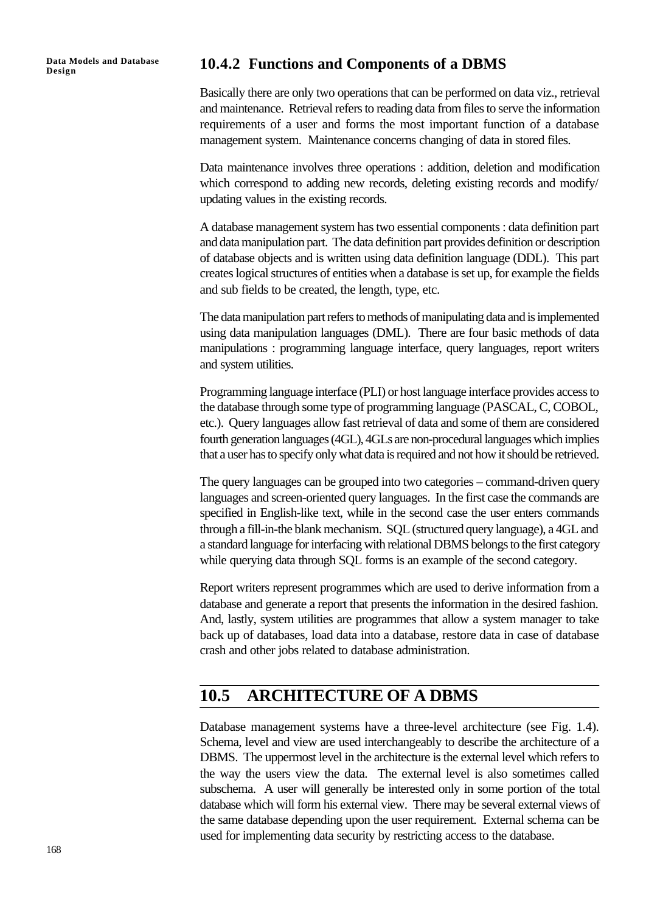**Data Models and Database**

## **Design 10.4.2 Functions and Components of a DBMS**

Basically there are only two operations that can be performed on data viz., retrieval and maintenance. Retrieval refers to reading data from files to serve the information requirements of a user and forms the most important function of a database management system. Maintenance concerns changing of data in stored files.

Data maintenance involves three operations : addition, deletion and modification which correspond to adding new records, deleting existing records and modify/ updating values in the existing records.

A database management system has two essential components : data definition part and data manipulation part. The data definition part provides definition or description of database objects and is written using data definition language (DDL). This part creates logical structures of entities when a database is set up, for example the fields and sub fields to be created, the length, type, etc.

The data manipulation part refers to methods of manipulating data and is implemented using data manipulation languages (DML). There are four basic methods of data manipulations : programming language interface, query languages, report writers and system utilities.

Programming language interface (PLI) or host language interface provides access to the database through some type of programming language (PASCAL, C, COBOL, etc.). Query languages allow fast retrieval of data and some of them are considered fourth generation languages (4GL), 4GLs are non-procedural languages which implies that a user has to specify only what data is required and not how it should be retrieved.

The query languages can be grouped into two categories – command-driven query languages and screen-oriented query languages. In the first case the commands are specified in English-like text, while in the second case the user enters commands through a fill-in-the blank mechanism. SQL (structured query language), a 4GL and a standard language for interfacing with relational DBMS belongs to the first category while querying data through SQL forms is an example of the second category.

Report writers represent programmes which are used to derive information from a database and generate a report that presents the information in the desired fashion. And, lastly, system utilities are programmes that allow a system manager to take back up of databases, load data into a database, restore data in case of database crash and other jobs related to database administration.

### **10.5 ARCHITECTURE OF A DBMS**

Database management systems have a three-level architecture (see Fig. 1.4). Schema, level and view are used interchangeably to describe the architecture of a DBMS. The uppermost level in the architecture is the external level which refers to the way the users view the data. The external level is also sometimes called subschema. A user will generally be interested only in some portion of the total database which will form his external view. There may be several external views of the same database depending upon the user requirement. External schema can be used for implementing data security by restricting access to the database.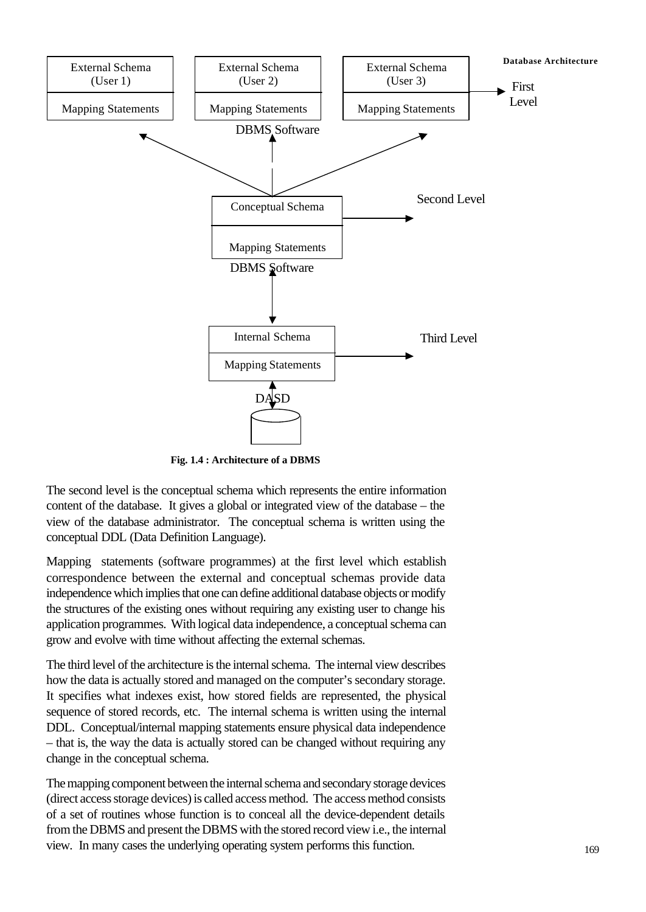

**Fig. 1.4 : Architecture of a DBMS**

The second level is the conceptual schema which represents the entire information content of the database. It gives a global or integrated view of the database – the view of the database administrator. The conceptual schema is written using the conceptual DDL (Data Definition Language).

Mapping statements (software programmes) at the first level which establish correspondence between the external and conceptual schemas provide data independence which implies that one can define additional database objects or modify the structures of the existing ones without requiring any existing user to change his application programmes. With logical data independence, a conceptual schema can grow and evolve with time without affecting the external schemas.

The third level of the architecture is the internal schema. The internal view describes how the data is actually stored and managed on the computer's secondary storage. It specifies what indexes exist, how stored fields are represented, the physical sequence of stored records, etc. The internal schema is written using the internal DDL. Conceptual/internal mapping statements ensure physical data independence – that is, the way the data is actually stored can be changed without requiring any change in the conceptual schema.

The mapping component between the internal schema and secondary storage devices (direct access storage devices) is called access method. The access method consists of a set of routines whose function is to conceal all the device-dependent details from the DBMS and present the DBMS with the stored record view i.e., the internal view. In many cases the underlying operating system performs this function.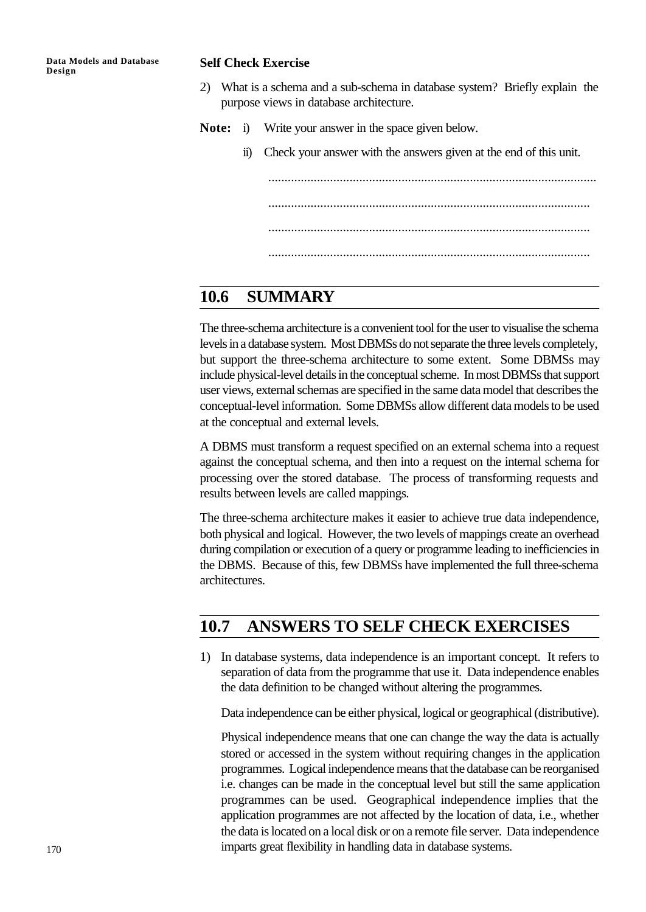#### **Self Check Exercise**

- 2) What is a schema and a sub-schema in database system? Briefly explain the purpose views in database architecture.
- **Note:** i) Write your answer in the space given below.
	- ii) Check your answer with the answers given at the end of this unit.

..................................................................................................... ................................................................................................... ...................................................................................................

...................................................................................................

# **10.6 SUMMARY**

The three-schema architecture is a convenient tool for the user to visualise the schema levels in a database system. Most DBMSs do not separate the three levels completely, but support the three-schema architecture to some extent. Some DBMSs may include physical-level details in the conceptual scheme. In most DBMSs that support user views, external schemas are specified in the same data model that describes the conceptual-level information. Some DBMSs allow different data models to be used at the conceptual and external levels.

A DBMS must transform a request specified on an external schema into a request against the conceptual schema, and then into a request on the internal schema for processing over the stored database. The process of transforming requests and results between levels are called mappings.

The three-schema architecture makes it easier to achieve true data independence, both physical and logical. However, the two levels of mappings create an overhead during compilation or execution of a query or programme leading to inefficiencies in the DBMS. Because of this, few DBMSs have implemented the full three-schema architectures.

# **10.7 ANSWERS TO SELF CHECK EXERCISES**

1) In database systems, data independence is an important concept. It refers to separation of data from the programme that use it. Data independence enables the data definition to be changed without altering the programmes.

Data independence can be either physical, logical or geographical (distributive).

Physical independence means that one can change the way the data is actually stored or accessed in the system without requiring changes in the application programmes. Logical independence means that the database can be reorganised i.e. changes can be made in the conceptual level but still the same application programmes can be used. Geographical independence implies that the application programmes are not affected by the location of data, i.e., whether the data is located on a local disk or on a remote file server. Data independence imparts great flexibility in handling data in database systems.